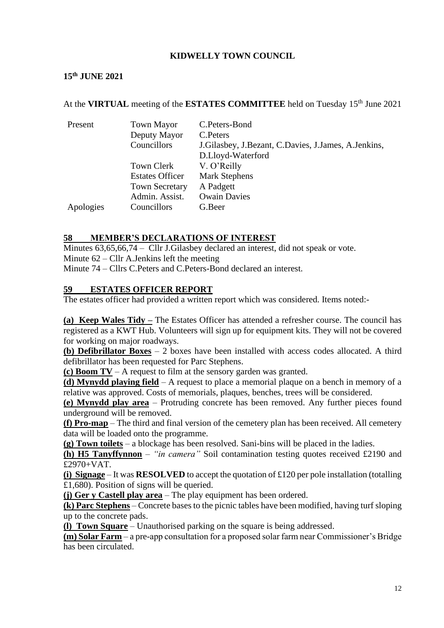### **KIDWELLY TOWN COUNCIL**

#### **15 th JUNE 2021**

#### At the VIRTUAL meeting of the ESTATES COMMITTEE held on Tuesday 15<sup>th</sup> June 2021

| Present   | <b>Town Mayor</b><br>Deputy Mayor<br>Councillors | C.Peters-Bond<br>C. Peters<br>J. Gilasbey, J. Bezant, C. Davies, J. James, A. Jenkins, |  |
|-----------|--------------------------------------------------|----------------------------------------------------------------------------------------|--|
|           | Town Clerk                                       | D.Lloyd-Waterford<br>V. O'Reilly                                                       |  |
|           | <b>Estates Officer</b><br><b>Town Secretary</b>  | <b>Mark Stephens</b><br>A Padgett                                                      |  |
| Apologies | Admin. Assist.<br>Councillors                    | <b>Owain Davies</b><br>G.Beer                                                          |  |

#### **58 MEMBER'S DECLARATIONS OF INTEREST**

Minutes 63,65,66,74 – Cllr J.Gilasbey declared an interest, did not speak or vote. Minute 62 – Cllr A.Jenkins left the meeting Minute 74 – Cllrs C.Peters and C.Peters-Bond declared an interest.

# **59 ESTATES OFFICER REPORT**

The estates officer had provided a written report which was considered. Items noted:-

**(a) Keep Wales Tidy –** The Estates Officer has attended a refresher course. The council has registered as a KWT Hub. Volunteers will sign up for equipment kits. They will not be covered for working on major roadways.

**(b) Defibrillator Boxes** – 2 boxes have been installed with access codes allocated. A third defibrillator has been requested for Parc Stephens.

**(c) Boom TV** – A request to film at the sensory garden was granted.

**(d) Mynydd playing field** – A request to place a memorial plaque on a bench in memory of a relative was approved. Costs of memorials, plaques, benches, trees will be considered.

**(e) Mynydd play area** – Protruding concrete has been removed. Any further pieces found underground will be removed.

**(f) Pro-map** – The third and final version of the cemetery plan has been received. All cemetery data will be loaded onto the programme.

**(g) Town toilets** – a blockage has been resolved. Sani-bins will be placed in the ladies.

**(h) H5 Tanyffynnon** – *"in camera"* Soil contamination testing quotes received £2190 and £2970+VAT.

**(i) Signage** – It was **RESOLVED** to accept the quotation of £120 per pole installation (totalling £1,680). Position of signs will be queried.

**(j) Ger y Castell play area** – The play equipment has been ordered.

**(k) Parc Stephens** – Concrete bases to the picnic tables have been modified, having turf sloping up to the concrete pads.

**(l) Town Square** – Unauthorised parking on the square is being addressed.

**(m) Solar Farm** – a pre-app consultation for a proposed solar farm near Commissioner's Bridge has been circulated.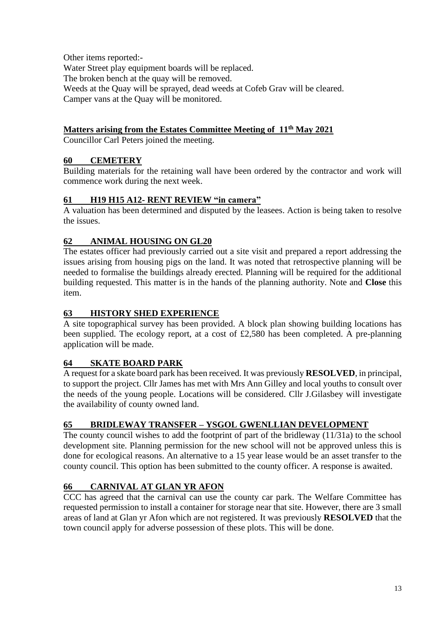Other items reported:- Water Street play equipment boards will be replaced. The broken bench at the quay will be removed. Weeds at the Quay will be sprayed, dead weeds at Cofeb Grav will be cleared. Camper vans at the Quay will be monitored.

### **Matters arising from the Estates Committee Meeting of 11th May 2021**

Councillor Carl Peters joined the meeting.

### **60 CEMETERY**

Building materials for the retaining wall have been ordered by the contractor and work will commence work during the next week.

### **61 H19 H15 A12- RENT REVIEW "in camera"**

A valuation has been determined and disputed by the leasees. Action is being taken to resolve the issues.

### **62 ANIMAL HOUSING ON GL20**

The estates officer had previously carried out a site visit and prepared a report addressing the issues arising from housing pigs on the land. It was noted that retrospective planning will be needed to formalise the buildings already erected. Planning will be required for the additional building requested. This matter is in the hands of the planning authority. Note and **Close** this item.

### **63 HISTORY SHED EXPERIENCE**

A site topographical survey has been provided. A block plan showing building locations has been supplied. The ecology report, at a cost of £2,580 has been completed. A pre-planning application will be made.

### **64 SKATE BOARD PARK**

A request for a skate board park has been received. It was previously **RESOLVED**, in principal, to support the project. Cllr James has met with Mrs Ann Gilley and local youths to consult over the needs of the young people. Locations will be considered. Cllr J.Gilasbey will investigate the availability of county owned land.

### **65 BRIDLEWAY TRANSFER – YSGOL GWENLLIAN DEVELOPMENT**

The county council wishes to add the footprint of part of the bridleway (11/31a) to the school development site. Planning permission for the new school will not be approved unless this is done for ecological reasons. An alternative to a 15 year lease would be an asset transfer to the county council. This option has been submitted to the county officer. A response is awaited.

### **66 CARNIVAL AT GLAN YR AFON**

CCC has agreed that the carnival can use the county car park. The Welfare Committee has requested permission to install a container for storage near that site. However, there are 3 small areas of land at Glan yr Afon which are not registered. It was previously **RESOLVED** that the town council apply for adverse possession of these plots. This will be done.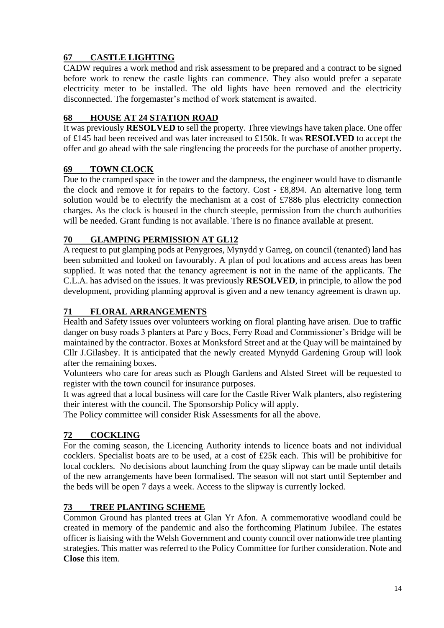# **67 CASTLE LIGHTING**

CADW requires a work method and risk assessment to be prepared and a contract to be signed before work to renew the castle lights can commence. They also would prefer a separate electricity meter to be installed. The old lights have been removed and the electricity disconnected. The forgemaster's method of work statement is awaited.

# **68 HOUSE AT 24 STATION ROAD**

It was previously **RESOLVED** to sell the property. Three viewings have taken place. One offer of £145 had been received and was later increased to £150k. It was **RESOLVED** to accept the offer and go ahead with the sale ringfencing the proceeds for the purchase of another property.

# **69 TOWN CLOCK**

Due to the cramped space in the tower and the dampness, the engineer would have to dismantle the clock and remove it for repairs to the factory. Cost - £8,894. An alternative long term solution would be to electrify the mechanism at a cost of £7886 plus electricity connection charges. As the clock is housed in the church steeple, permission from the church authorities will be needed. Grant funding is not available. There is no finance available at present.

# **70 GLAMPING PERMISSION AT GL12**

A request to put glamping pods at Penygroes, Mynydd y Garreg, on council (tenanted) land has been submitted and looked on favourably. A plan of pod locations and access areas has been supplied. It was noted that the tenancy agreement is not in the name of the applicants. The C.L.A. has advised on the issues. It was previously **RESOLVED**, in principle, to allow the pod development, providing planning approval is given and a new tenancy agreement is drawn up.

# **71 FLORAL ARRANGEMENTS**

Health and Safety issues over volunteers working on floral planting have arisen. Due to traffic danger on busy roads 3 planters at Parc y Bocs, Ferry Road and Commissioner's Bridge will be maintained by the contractor. Boxes at Monksford Street and at the Quay will be maintained by Cllr J.Gilasbey. It is anticipated that the newly created Mynydd Gardening Group will look after the remaining boxes.

Volunteers who care for areas such as Plough Gardens and Alsted Street will be requested to register with the town council for insurance purposes.

It was agreed that a local business will care for the Castle River Walk planters, also registering their interest with the council. The Sponsorship Policy will apply.

The Policy committee will consider Risk Assessments for all the above.

# **72 COCKLING**

For the coming season, the Licencing Authority intends to licence boats and not individual cocklers. Specialist boats are to be used, at a cost of £25k each. This will be prohibitive for local cocklers. No decisions about launching from the quay slipway can be made until details of the new arrangements have been formalised. The season will not start until September and the beds will be open 7 days a week. Access to the slipway is currently locked.

# **73 TREE PLANTING SCHEME**

Common Ground has planted trees at Glan Yr Afon. A commemorative woodland could be created in memory of the pandemic and also the forthcoming Platinum Jubilee. The estates officer is liaising with the Welsh Government and county council over nationwide tree planting strategies. This matter was referred to the Policy Committee for further consideration. Note and **Close** this item.